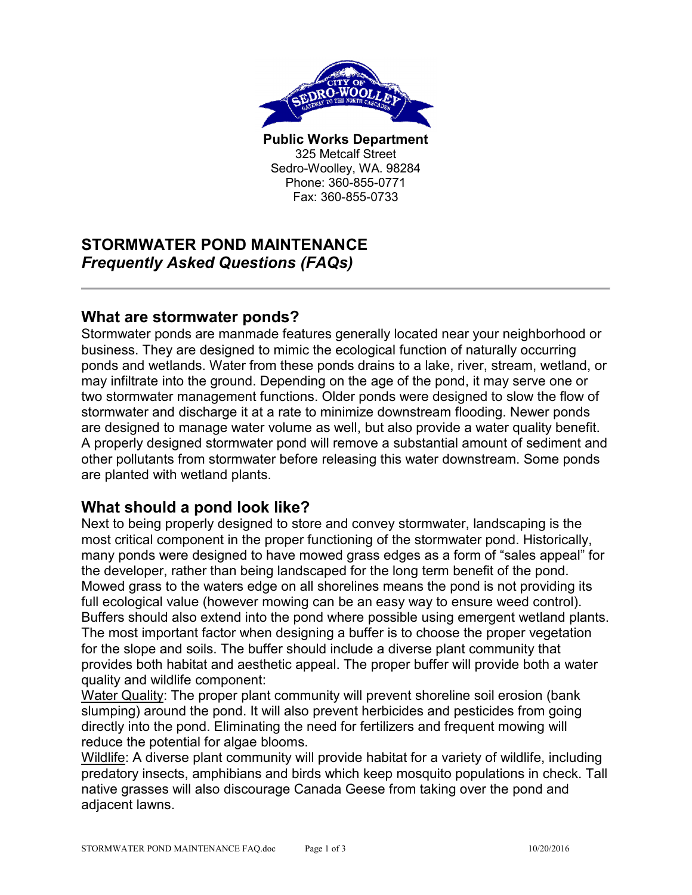

**Public Works Department**  325 Metcalf Street Sedro-Woolley, WA. 98284 Phone: 360-855-0771 Fax: 360-855-0733

# **STORMWATER POND MAINTENANCE**  *Frequently Asked Questions (FAQs)*

#### **What are stormwater ponds?**

Stormwater ponds are manmade features generally located near your neighborhood or business. They are designed to mimic the ecological function of naturally occurring ponds and wetlands. Water from these ponds drains to a lake, river, stream, wetland, or may infiltrate into the ground. Depending on the age of the pond, it may serve one or two stormwater management functions. Older ponds were designed to slow the flow of stormwater and discharge it at a rate to minimize downstream flooding. Newer ponds are designed to manage water volume as well, but also provide a water quality benefit. A properly designed stormwater pond will remove a substantial amount of sediment and other pollutants from stormwater before releasing this water downstream. Some ponds are planted with wetland plants.

### **What should a pond look like?**

Next to being properly designed to store and convey stormwater, landscaping is the most critical component in the proper functioning of the stormwater pond. Historically, many ponds were designed to have mowed grass edges as a form of "sales appeal" for the developer, rather than being landscaped for the long term benefit of the pond. Mowed grass to the waters edge on all shorelines means the pond is not providing its full ecological value (however mowing can be an easy way to ensure weed control). Buffers should also extend into the pond where possible using emergent wetland plants. The most important factor when designing a buffer is to choose the proper vegetation for the slope and soils. The buffer should include a diverse plant community that provides both habitat and aesthetic appeal. The proper buffer will provide both a water quality and wildlife component:

Water Quality: The proper plant community will prevent shoreline soil erosion (bank slumping) around the pond. It will also prevent herbicides and pesticides from going directly into the pond. Eliminating the need for fertilizers and frequent mowing will reduce the potential for algae blooms.

Wildlife: A diverse plant community will provide habitat for a variety of wildlife, including predatory insects, amphibians and birds which keep mosquito populations in check. Tall native grasses will also discourage Canada Geese from taking over the pond and adjacent lawns.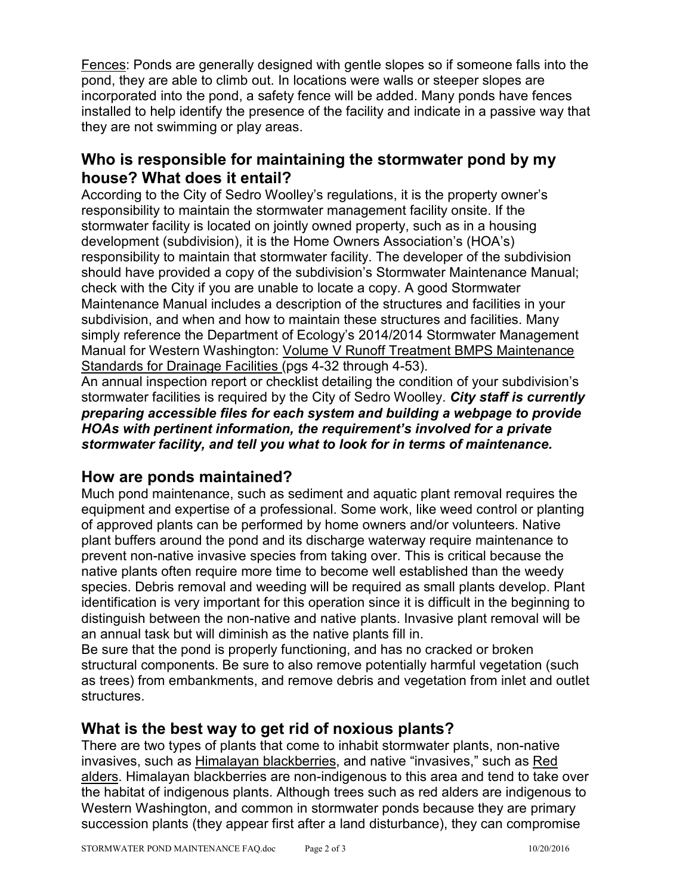Fences: Ponds are generally designed with gentle slopes so if someone falls into the pond, they are able to climb out. In locations were walls or steeper slopes are incorporated into the pond, a safety fence will be added. Many ponds have fences installed to help identify the presence of the facility and indicate in a passive way that they are not swimming or play areas.

### **Who is responsible for maintaining the stormwater pond by my house? What does it entail?**

According to the City of Sedro Woolley's regulations, it is the property owner's responsibility to maintain the stormwater management facility onsite. If the stormwater facility is located on jointly owned property, such as in a housing development (subdivision), it is the Home Owners Association's (HOA's) responsibility to maintain that stormwater facility. The developer of the subdivision should have provided a copy of the subdivision's Stormwater Maintenance Manual; check with the City if you are unable to locate a copy. A good Stormwater Maintenance Manual includes a description of the structures and facilities in your subdivision, and when and how to maintain these structures and facilities. Many simply reference the Department of Ecology's 2014/2014 Stormwater Management Manual for Western Washington: Volume V Runoff Treatment BMPS Maintenance Standards for Drainage Facilities (pgs 4-32 through 4-53).

An annual inspection report or checklist detailing the condition of your subdivision's stormwater facilities is required by the City of Sedro Woolley. *City staff is currently preparing accessible files for each system and building a webpage to provide HOAs with pertinent information, the requirement's involved for a private stormwater facility, and tell you what to look for in terms of maintenance.* 

## **How are ponds maintained?**

Much pond maintenance, such as sediment and aquatic plant removal requires the equipment and expertise of a professional. Some work, like weed control or planting of approved plants can be performed by home owners and/or volunteers. Native plant buffers around the pond and its discharge waterway require maintenance to prevent non-native invasive species from taking over. This is critical because the native plants often require more time to become well established than the weedy species. Debris removal and weeding will be required as small plants develop. Plant identification is very important for this operation since it is difficult in the beginning to distinguish between the non-native and native plants. Invasive plant removal will be an annual task but will diminish as the native plants fill in.

Be sure that the pond is properly functioning, and has no cracked or broken structural components. Be sure to also remove potentially harmful vegetation (such as trees) from embankments, and remove debris and vegetation from inlet and outlet structures.

### **What is the best way to get rid of noxious plants?**

There are two types of plants that come to inhabit stormwater plants, non-native invasives, such as Himalayan blackberries, and native "invasives," such as Red alders. Himalayan blackberries are non-indigenous to this area and tend to take over the habitat of indigenous plants. Although trees such as red alders are indigenous to Western Washington, and common in stormwater ponds because they are primary succession plants (they appear first after a land disturbance), they can compromise